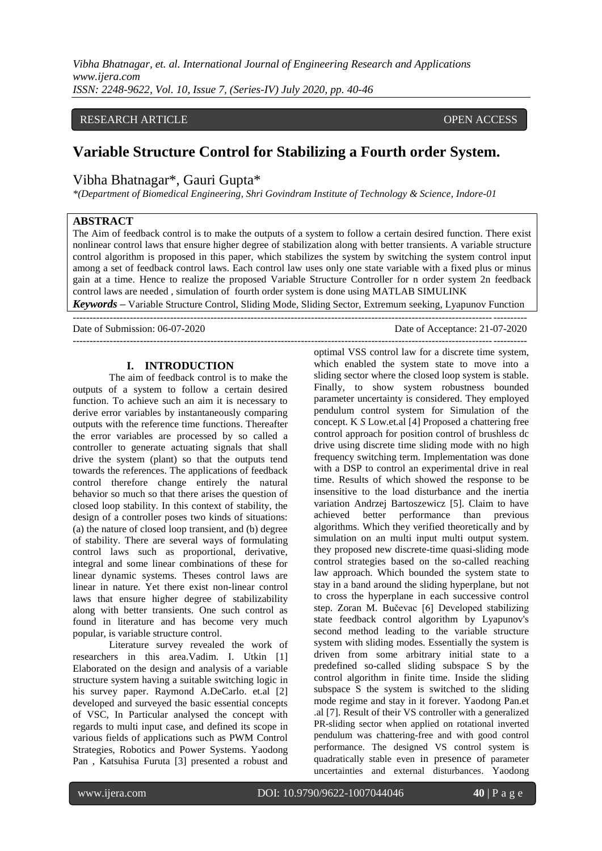*Vibha Bhatnagar, et. al. International Journal of Engineering Research and Applications www.ijera.com ISSN: 2248-9622, Vol. 10, Issue 7, (Series-IV) July 2020, pp. 40-46*

# RESEARCH ARTICLE **CONSERVERS** OPEN ACCESS

# **Variable Structure Control for Stabilizing a Fourth order System.**

# Vibha Bhatnagar\*, Gauri Gupta\*

*\*(Department of Biomedical Engineering, Shri Govindram Institute of Technology & Science, Indore-01*

# **ABSTRACT**

The Aim of feedback control is to make the outputs of a system to follow a certain desired function. There exist nonlinear control laws that ensure higher degree of stabilization along with better transients. A variable structure control algorithm is proposed in this paper, which stabilizes the system by switching the system control input among a set of feedback control laws. Each control law uses only one state variable with a fixed plus or minus gain at a time. Hence to realize the proposed Variable Structure Controller for n order system 2n feedback control laws are needed , simulation of fourth order system is done using MATLAB SIMULINK

*Keywords* **–** Variable Structure Control, Sliding Mode, Sliding Sector, Extremum seeking, Lyapunov Function ---------------------------------------------------------------------------------------------------------------------------------------

---------------------------------------------------------------------------------------------------------------------------------------

Date of Submission: 06-07-2020 Date of Acceptance: 21-07-2020

#### **I. INTRODUCTION**

The aim of feedback control is to make the outputs of a system to follow a certain desired function. To achieve such an aim it is necessary to derive error variables by instantaneously comparing outputs with the reference time functions. Thereafter the error variables are processed by so called a controller to generate actuating signals that shall drive the system (plant) so that the outputs tend towards the references. The applications of feedback control therefore change entirely the natural behavior so much so that there arises the question of closed loop stability. In this context of stability, the design of a controller poses two kinds of situations: (a) the nature of closed loop transient, and (b) degree of stability. There are several ways of formulating control laws such as proportional, derivative, integral and some linear combinations of these for linear dynamic systems. Theses control laws are linear in nature. Yet there exist non-linear control laws that ensure higher degree of stabilizability along with better transients. One such control as found in literature and has become very much popular, is variable structure control.

Literature survey revealed the work of researchers in this area.Vadim. I. Utkin [1] Elaborated on the design and analysis of a variable structure system having a suitable switching logic in his survey paper. Raymond A.DeCarlo. et.al [2] developed and surveyed the basic essential concepts of VSC, In Particular analysed the concept with regards to multi input case, and defined its scope in various fields of applications such as PWM Control Strategies, Robotics and Power Systems. Yaodong Pan , Katsuhisa Furuta [3] presented a robust and optimal VSS control law for a discrete time system, which enabled the system state to move into a sliding sector where the closed loop system is stable. Finally, to show system robustness bounded parameter uncertainty is considered. They employed pendulum control system for Simulation of the concept. K *S* Low.et.al [4] Proposed a chattering free control approach for position control of brushless dc drive using discrete time sliding mode with no high frequency switching term. Implementation was done with a DSP to control an experimental drive in real time. Results of which showed the response to be insensitive to the load disturbance and the inertia variation Andrzej Bartoszewicz [5]. Claim to have achieved better performance than previous algorithms. Which they verified theoretically and by simulation on an multi input multi output system. they proposed new discrete-time quasi-sliding mode control strategies based on the so-called reaching law approach. Which bounded the system state to stay in a band around the sliding hyperplane, but not to cross the hyperplane in each successive control step. Zoran M. Bučevac [6] Developed stabilizing state feedback control algorithm by Lyapunov's second method leading to the variable structure system with sliding modes. Essentially the system is driven from some arbitrary initial state to a predefined so-called sliding subspace S by the control algorithm in finite time. Inside the sliding subspace S the system is switched to the sliding mode regime and stay in it forever. Yaodong Pan.et .al [7]. Result of their VS controller with a generalized PR-sliding sector when applied on rotational inverted pendulum was chattering-free and with good control performance. The designed VS control system is quadratically stable even in presence of parameter uncertainties and external disturbances. Yaodong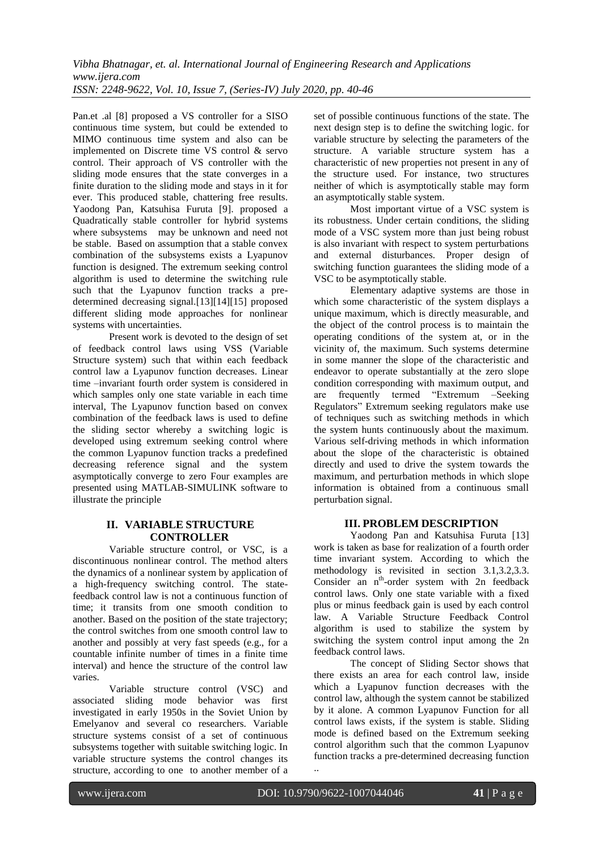Pan.et .al [8] proposed a VS controller for a SISO continuous time system, but could be extended to MIMO continuous time system and also can be implemented on Discrete time VS control & servo control. Their approach of VS controller with the sliding mode ensures that the state converges in a finite duration to the sliding mode and stays in it for ever. This produced stable, chattering free results. Yaodong Pan, Katsuhisa Furuta [9]. proposed a Quadratically stable controller for hybrid systems where subsystems may be unknown and need not be stable. Based on assumption that a stable convex combination of the subsystems exists a Lyapunov function is designed. The extremum seeking control algorithm is used to determine the switching rule such that the Lyapunov function tracks a predetermined decreasing signal.[13][14][15] proposed different sliding mode approaches for nonlinear systems with uncertainties.

Present work is devoted to the design of set of feedback control laws using VSS (Variable Structure system) such that within each feedback control law a Lyapunov function decreases. Linear time –invariant fourth order system is considered in which samples only one state variable in each time interval, The Lyapunov function based on convex combination of the feedback laws is used to define the sliding sector whereby a switching logic is developed using extremum seeking control where the common Lyapunov function tracks a predefined decreasing reference signal and the system asymptotically converge to zero Four examples are presented using MATLAB-SIMULINK software to illustrate the principle

## **II. VARIABLE STRUCTURE CONTROLLER**

Variable structure control, or VSC, is a discontinuous nonlinear control. The method alters the dynamics of a nonlinear system by application of a high-frequency switching control. The statefeedback control law is not a continuous function of time; it transits from one smooth condition to another. Based on the position of the state trajectory; the control switches from one smooth control law to another and possibly at very fast speeds (e.g., for a countable infinite number of times in a finite time interval) and hence the structure of the control law varies.

Variable structure control (VSC) and associated sliding mode behavior was first investigated in early 1950s in the Soviet Union by Emelyanov and several co researchers. Variable structure systems consist of a set of continuous subsystems together with suitable switching logic. In variable structure systems the control changes its structure, according to one to another member of a

set of possible continuous functions of the state. The next design step is to define the switching logic. for variable structure by selecting the parameters of the structure. A variable structure system has a characteristic of new properties not present in any of the structure used. For instance, two structures neither of which is asymptotically stable may form an asymptotically stable system.

Most important virtue of a VSC system is its robustness. Under certain conditions, the sliding mode of a VSC system more than just being robust is also invariant with respect to system perturbations and external disturbances. Proper design of switching function guarantees the sliding mode of a VSC to be asymptotically stable.

Elementary adaptive systems are those in which some characteristic of the system displays a unique maximum, which is directly measurable, and the object of the control process is to maintain the operating conditions of the system at, or in the vicinity of, the maximum. Such systems determine in some manner the slope of the characteristic and endeavor to operate substantially at the zero slope condition corresponding with maximum output, and are frequently termed "Extremum –Seeking Regulators" Extremum seeking regulators make use of techniques such as switching methods in which the system hunts continuously about the maximum. Various self-driving methods in which information about the slope of the characteristic is obtained directly and used to drive the system towards the maximum, and perturbation methods in which slope information is obtained from a continuous small perturbation signal.

# **III. PROBLEM DESCRIPTION**

Yaodong Pan and Katsuhisa Furuta [13] work is taken as base for realization of a fourth order time invariant system. According to which the methodology is revisited in section 3.1,3.2,3.3. Consider an n<sup>th</sup>-order system with 2n feedback control laws. Only one state variable with a fixed plus or minus feedback gain is used by each control law. A Variable Structure Feedback Control algorithm is used to stabilize the system by switching the system control input among the 2n feedback control laws.

The concept of Sliding Sector shows that there exists an area for each control law, inside which a Lyapunov function decreases with the control law, although the system cannot be stabilized by it alone. A common Lyapunov Function for all control laws exists, if the system is stable. Sliding mode is defined based on the Extremum seeking control algorithm such that the common Lyapunov function tracks a pre-determined decreasing function ..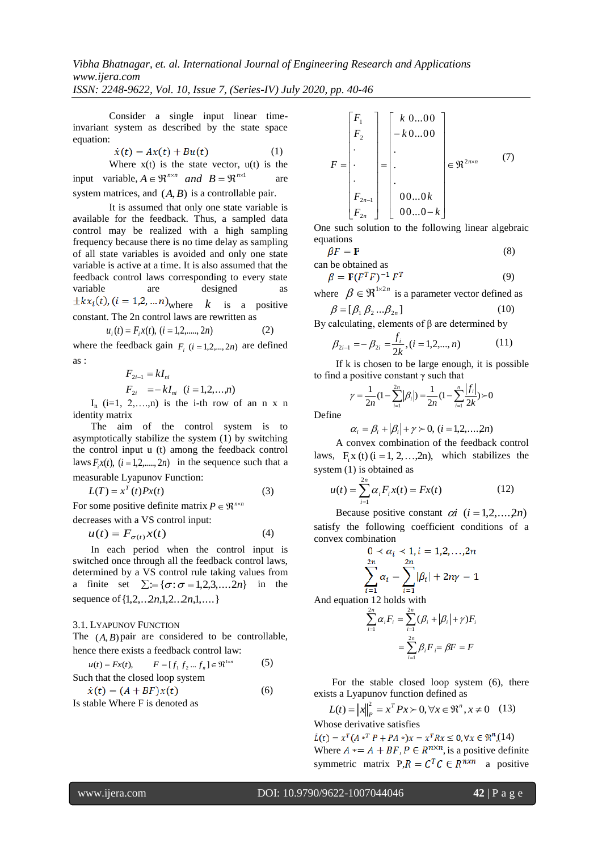Consider a single input linear timeinvariant system as described by the state space equation:

$$
\dot{x}(t) = Ax(t) + Bu(t) \tag{1}
$$

Where  $x(t)$  is the state vector,  $u(t)$  is the input variable,  $A \in \mathbb{R}^{n \times n}$  *and*  $B = \mathbb{R}^{n \times 1}$  are system matrices, and  $(A, B)$  is a controllable pair.

It is assumed that only one state variable is available for the feedback. Thus, a sampled data control may be realized with a high sampling frequency because there is no time delay as sampling of all state variables is avoided and only one state variable is active at a time. It is also assumed that the feedback control laws corresponding to every state variable are designed as where  $k$  is a positive constant. The 2n control laws are rewritten as  $u_i(t) = F_i x(t), (i = 1, 2, \dots, 2n)$ (2)

where the feedback gain  $F_i$  ( $i = 1, 2, \dots, 2n$ ) are defined

$$
\quad \text{as}:
$$

$$
F_{2i-1} = kI_{ni}
$$
  

$$
F_{2i} = -kI_{ni} \quad (i = 1, 2, ..., n)
$$

 $I_n$  (i=1, 2,...,n) is the i-th row of an n x n identity matrix

The aim of the control system is to asymptotically stabilize the system (1) by switching the control input u (t) among the feedback control laws  $F_i x(t)$ ,  $(i = 1, 2, \dots, 2n)$  in the sequence such that a measurable Lyapunov Function:

 $L(T) = x^T(t)Px(t)$  (3)

For some positive definite matrix  $P \in \mathbb{R}^{n \times n}$ 

decreases with a VS control input:

$$
u(t) = F_{\sigma(t)} x(t) \tag{4}
$$

In each period when the control input is switched once through all the feedback control laws, determined by a VS control rule taking values from a finite set  $\Sigma = {\sigma : \sigma = 1,2,3,...,2n}$  in the sequence of  $\{1, 2, \ldots, 2n, 1, 2 \ldots, 2n, 1, \ldots\}$ 

3.1. LYAPUNOV FUNCTION

The  $(A, B)$  pair are considered to be controllable, hence there exists a feedback control law:

$$
u(t) = Fx(t), \qquad F = [f_1 f_2 ... f_n] \in \mathfrak{R}^{\text{1cm}} \tag{5}
$$
  
Such that the closed loop system  

$$
\dot{x}(t) = (A + BF)x(t) \tag{6}
$$

Is stable Where F is denoted as

$$
F = \begin{bmatrix} F_1 \\ F_2 \\ \vdots \\ F_{2n-1} \\ F_{2n} \end{bmatrix} = \begin{bmatrix} k & 0...00 \\ -k & 0...00 \\ \vdots \\ \vdots \\ 0 & 0...0k \\ 0 & 0...0-k \end{bmatrix} \in \mathfrak{R}^{2n \times n} \qquad (7)
$$

One such solution to the following linear algebraic equations

$$
\beta F = \mathbf{F}
$$
 (8)

an be obtained as  

$$
\beta = \mathbf{F}(F^T F)^{-1} F^T
$$
 (9)

where  $\beta \in \mathfrak{R}^{1 \times 2n}$  is a parameter vector defined as  $\overline{a}$   $\overline{b}$   $\overline{a}$   $\overline{a}$ 

$$
\beta = [\beta_1 \beta_2 ... \beta_{2n}] \tag{10}
$$

By calculating, elements of  $β$  are determined by

$$
\beta_{2i-1} = -\beta_{2i} = \frac{f_i}{2k}, (i = 1, 2, \dots, n)
$$
 (11)

If k is chosen to be large enough, it is possible to find a positive constant  $\gamma$  such that

$$
\gamma = \frac{1}{2n} \left( 1 - \sum_{i=1}^{2n} |\beta_i| \right) = \frac{1}{2n} \left( 1 - \sum_{i=1}^{n} \frac{|f_i|}{2k} \right) > 0
$$

Define

$$
\alpha_i = \beta_i + |\beta_i| + \gamma \succ 0, \ (i = 1, 2, \dots, 2n)
$$

A convex combination of the feedback control laws,  $F_i x(t)$  (i = 1, 2, ...,2n), which stabilizes the system (1) is obtained as

$$
u(t) = \sum_{i=1}^{2n} \alpha_i F_i x(t) = Fx(t)
$$
 (12)

Because positive constant  $\alpha i$   $(i = 1, 2, ..., 2n)$ satisfy the following coefficient conditions of a convex combination

$$
0 < \alpha_i < 1, i = 1, 2, \dots, 2n
$$
\n
$$
\sum_{i=1}^{2n} \alpha_i = \sum_{i=1}^{2n} |\beta_i| + 2n\gamma = 1
$$

And equation 12 holds with

$$
\sum_{i=1}^{2n} \alpha_i F_i = \sum_{i=1}^{2n} (\beta_i + |\beta_i| + \gamma) F_i
$$

$$
= \sum_{i=1}^{2n} \beta_i F_i = \beta F = F
$$

For the stable closed loop system (6), there exists a Lyapunov function defined as

$$
L(t) = ||x||_P^2 = x^T P x \succ 0, \forall x \in \mathfrak{R}^n, x \neq 0 \quad (13)
$$
  
Whose derivative satisfies

 $\dot{L}(t) = x^T (A *^T P + P A * )x = x^T R x \le 0, \forall x \in \mathbb{R}^n (14)$ Where  $A^* = A + BF$ ,  $P \in R^{n \times n}$ , is a positive definite symmetric matrix  $P_{n}R = C^{T}C \in R^{n \times n}$  a positive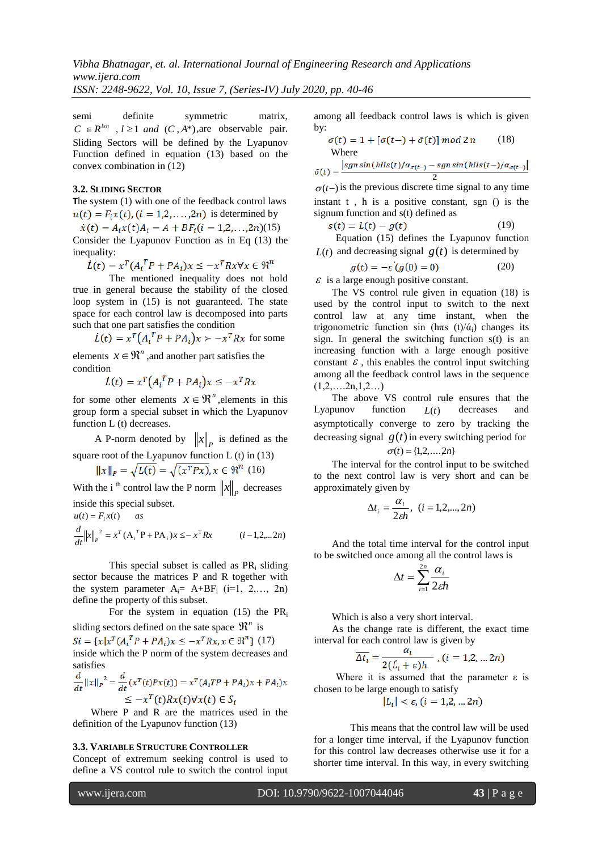*ISSN: 2248-9622, Vol. 10, Issue 7, (Series-IV) July 2020, pp. 40-46*

semi definite symmetric matrix,  $C \in \mathbb{R}^{kn}$ ,  $l \geq 1$  *and*  $(C, A^*)$ , are observable pair. Sliding Sectors will be defined by the Lyapunov Function defined in equation (13) based on the convex combination in (12)

#### **3.2. SLIDING SECTOR**

The system (1) with one of the feedback control laws  $u(t) = F_i x(t)$ ,  $(i = 1,2,...,2n)$  is determined by

 $\dot{x}(t) = A_i x(t) A_i = A + BF_i (i = 1,2,...,2n)$ (15)

Consider the Lyapunov Function as in Eq (13) the inequality:

$$
\dot{L}(t) = x^T (A_i^T P + P A_i) x \le -x^T R x \forall x \in \mathbb{R}^n
$$

The mentioned inequality does not hold true in general because the stability of the closed loop system in (15) is not guaranteed. The state space for each control law is decomposed into parts such that one part satisfies the condition

$$
\dot{L}(t) = x^T \left( A_i^T P + P A_i \right) x \succ -x^T R x
$$
 for some

elements  $x \in \mathbb{R}^n$ , and another part satisfies the condition

$$
\dot{L}(t) = x^T \left( A_i^T P + P A_i \right) x \le -x^T R x
$$

for some other elements  $x \in \mathbb{R}^n$ , elements in this group form a special subset in which the Lyapunov function L (t) decreases.

A P-norm denoted by  $||x||_p$  is defined as the square root of the Lyapunov function  $L(t)$  in (13)

$$
||x||_P = \sqrt{L(t)} = \sqrt{(x^T P x)}, x \in \mathfrak{R}^n \quad (16)
$$

With the i<sup>th</sup> control law the P norm  $||x||_p$  decreases inside this special subset.

 $u(t) = F_i x(t)$  *as* 

$$
\frac{d}{dt} ||x||_P^2 = x^T (A_i^T P + P A_i) x \leq - x^T R x \qquad (i = 1, 2, \dots 2n)
$$

This special subset is called as  $PR_i$  sliding sector because the matrices P and R together with the system parameter  $A_i = A + BF_i$  (i=1, 2,..., 2n) define the property of this subset.

For the system in equation (15) the  $PR_i$ sliding sectors defined on the sate space  $\mathbb{R}^n$  is

 $Si = \{x | x^T (A_i^T P + P A_i)x \le -x^T R x, x \in \mathbb{R}^n \}$  (17) inside which the P norm of the system decreases and satisfies

$$
\frac{d}{dt} ||x||_P^2 = \frac{d}{dt} (x^T(t)Px(t)) = x^T (A_iTP + PA_i)x + PA_i)x
$$
  
\n
$$
\leq -x^T(t)Rx(t)\forall x(t) \in S_i
$$

Where P and R are the matrices used in the definition of the Lyapunov function (13)

#### **3.3. VARIABLE STRUCTURE CONTROLLER**

Concept of extremum seeking control is used to define a VS control rule to switch the control input among all feedback control laws is which is given by:

$$
\sigma(t) = 1 + [\sigma(t-) + \bar{\sigma}(t)] \mod 2n \tag{18}
$$
  
Where

$$
\bar{v}(t) = \frac{\left|sgn\sin\left(\frac{h\pi s(t)}{\alpha_{\sigma(t-)} - sgn\sin\left(\frac{h\pi s(t-)}{\alpha_{\sigma(t-)}}\right)}\right|\right|}{2}
$$

 $\sigma(t-)$  is the previous discrete time signal to any time instant t , h is a positive constant, sgn () is the signum function and s(t) defined as

$$
s(t) = L(t) - g(t) \tag{19}
$$

Equation (15) defines the Lyapunov function  $L(t)$  and decreasing signal  $g(t)$  is determined by

$$
g(t) = -\varepsilon \left( g(0) = 0 \right) \tag{20}
$$

 $\epsilon$  is a large enough positive constant.

The VS control rule given in equation (18) is used by the control input to switch to the next control law at any time instant, when the trigonometric function sin (h $\pi$ s (t)/ά<sub>i</sub>) changes its sign. In general the switching function  $s(t)$  is an increasing function with a large enough positive constant  $\varepsilon$ , this enables the control input switching among all the feedback control laws in the sequence  $(1,2,....2n,1,2...)$ 

The above VS control rule ensures that the Lyapunov function  $L(t)$ decreases and asymptotically converge to zero by tracking the decreasing signal  $g(t)$  in every switching period for

$$
\sigma(t) = \{1,2,\ldots,2n\}
$$

The interval for the control input to be switched to the next control law is very short and can be approximately given by

$$
\Delta t_i = \frac{\alpha_i}{2\epsilon h}, \ (i = 1, 2, \dots, 2n)
$$

And the total time interval for the control input to be switched once among all the control laws is

$$
\Delta t = \sum_{i=1}^{2n} \frac{\alpha_i}{2\epsilon h}
$$

Which is also a very short interval.

As the change rate is different, the exact time interval for each control law is given by

$$
\overline{\Delta t_i} = \frac{a_i}{2(\dot{L_i} + \varepsilon)h}, (i = 1, 2, \dots 2n)
$$

Where it is assumed that the parameter  $\varepsilon$  is chosen to be large enough to satisfy

$$
|L_i| < \varepsilon, (i = 1, 2, \ldots 2n)
$$

This means that the control law will be used for a longer time interval, if the Lyapunov function for this control law decreases otherwise use it for a shorter time interval. In this way, in every switching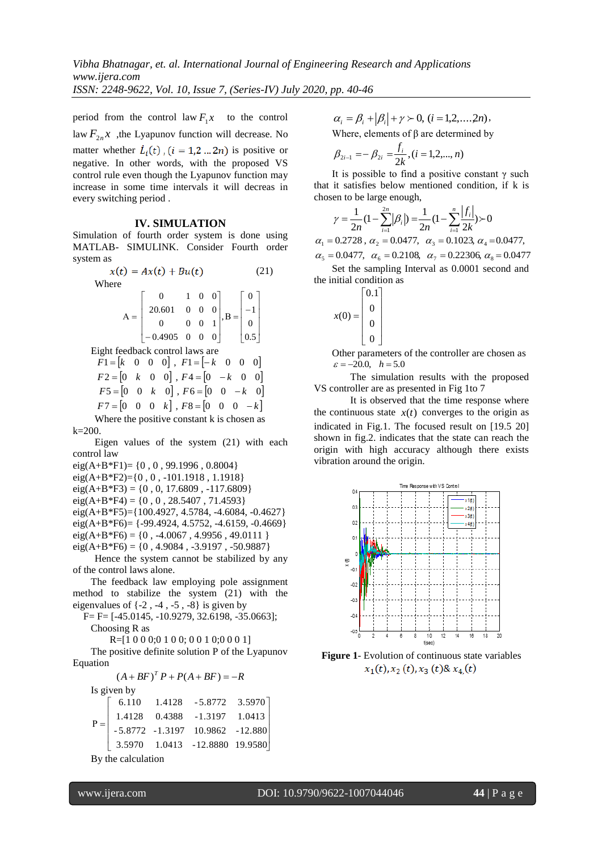period from the control law  $F_1x$  to the control law  $F_{2n}x$ , the Lyapunov function will decrease. No matter whether  $\dot{L}_i(t)$ ,  $(i = 1, 2 ... 2n)$  is positive or negative. In other words, with the proposed VS control rule even though the Lyapunov function may increase in some time intervals it will decreas in every switching period .

#### **IV. SIMULATION**

Simulation of fourth order system is done using MATLAB- SIMULINK. Consider Fourth order system as

> $x(t) = Ax(t) + Bu(t)$  (21) Where

$$
A = \begin{bmatrix} 0 & 1 & 0 & 0 \\ 20.601 & 0 & 0 & 0 \\ 0 & 0 & 0 & 1 \\ -0.4905 & 0 & 0 & 0 \end{bmatrix}, B = \begin{bmatrix} 0 \\ -1 \\ 0 \\ 0.5 \end{bmatrix}
$$

Eight feedback control laws are

 $F1 = \begin{bmatrix} k & 0 & 0 & 0 \end{bmatrix}, F1 = \begin{bmatrix} -k & 0 & 0 & 0 \end{bmatrix}$  $F2 = \begin{bmatrix} 0 & k & 0 & 0 \end{bmatrix}$ ,  $F4 = \begin{bmatrix} 0 & -k & 0 & 0 \end{bmatrix}$  $F5 = \begin{bmatrix} 0 & 0 & k & 0 \end{bmatrix}$ ,  $F6 = \begin{bmatrix} 0 & 0 & -k & 0 \end{bmatrix}$  $F7 = \begin{bmatrix} 0 & 0 & 0 & k \end{bmatrix}$ ,  $F8 = \begin{bmatrix} 0 & 0 & 0 & -k \end{bmatrix}$ Where the positive constant k is chosen as

k=200.

Eigen values of the system (21) with each control law

eig(A+B\*F1)=  $\{0, 0, 99.1996, 0.8004\}$ eig(A+B\*F2)={0 , 0 , -101.1918 , 1.1918}  $eig(A+B*F3) = \{0, 0, 17.6809, -117.6809\}$  $eig(A+B*F4) = \{0, 0, 28.5407, 71.4593\}$ eig(A+B\*F5)={100.4927, 4.5784, -4.6084, -0.4627} eig(A+B\*F6)=  $\{-99.4924, 4.5752, -4.6159, -0.4669\}$  $eig(A+B*F6) = \{0, -4.0067, 4.9956, 49.0111\}$  $eig(A+B*F6) = \{0, 4.9084, -3.9197, -50.9887\}$ 

Hence the system cannot be stabilized by any of the control laws alone.

The feedback law employing pole assignment method to stabilize the system (21) with the eigenvalues of  $\{-2, -4, -5, -8\}$  is given by

F= F= [-45.0145, -10.9279, 32.6198, -35.0663]; Choosing R as

R=[1 0 0 0;0 1 0 0; 0 0 1 0;0 0 0 1]

The positive definite solution P of the Lyapunov Equation

$$
(A + BF)^T P + P(A + BF) = -R
$$

Is given by

|  | $\mathbf{P} = \left[ \begin{array}{cccc} 6.110 & 1.4128 & -5.8772 & 3.5970 \\ 1.4128 & 0.4388 & -1.3197 & 1.0413 \\ -5.8772 & -1.3197 & 10.9862 & -12.880 \\ 3.5970 & 1.0413 & -12.8880 & 19.9580 \end{array} \right]$ |
|--|------------------------------------------------------------------------------------------------------------------------------------------------------------------------------------------------------------------------|

By the calculation

 $\alpha_i = \beta_i + |\beta_i| + \gamma \succ 0, \ (i = 1,2,...,2n)$ 

Where, elements of  $\beta$  are determined by

$$
\beta_{2i-1} = -\beta_{2i} = \frac{f_i}{2k}, (i = 1, 2, ..., n)
$$

It is possible to find a positive constant  $\gamma$  such that it satisfies below mentioned condition, if k is chosen to be large enough,

$$
\gamma = \frac{1}{2n} \left( 1 - \sum_{i=1}^{2n} |\beta_i| \right) = \frac{1}{2n} \left( 1 - \sum_{i=1}^{n} \frac{|f_i|}{2k} \right) > 0
$$

 $\alpha_{5} = 0.0477$ ,  $\alpha_{6} = 0.2108$ ,  $\alpha_{7} = 0.22306$ ,  $\alpha_{8} = 0.0477$  $\alpha_1 = 0.2728$ ,  $\alpha_2 = 0.0477$ ,  $\alpha_3 = 0.1023$ ,  $\alpha_4 = 0.0477$ , Set the sampling Interval as 0.0001 second and the initial condition as

$$
x(0) = \begin{bmatrix} 0.1 \\ 0 \\ 0 \\ 0 \end{bmatrix}
$$

Other parameters of the controller are chosen as  $\varepsilon = -20.0, \quad h = 5.0$ 

The simulation results with the proposed VS controller are as presented in Fig 1to 7

It is observed that the time response where the continuous state  $x(t)$  converges to the origin as indicated in Fig.1. The focused result on [19.5 20] shown in fig.2. indicates that the state can reach the origin with high accuracy although there exists vibration around the origin.



**Figure 1**- Evolution of continuous state variables  $x_1(t)$ ,  $x_2(t)$ ,  $x_3(t)$ &  $x_4(t)$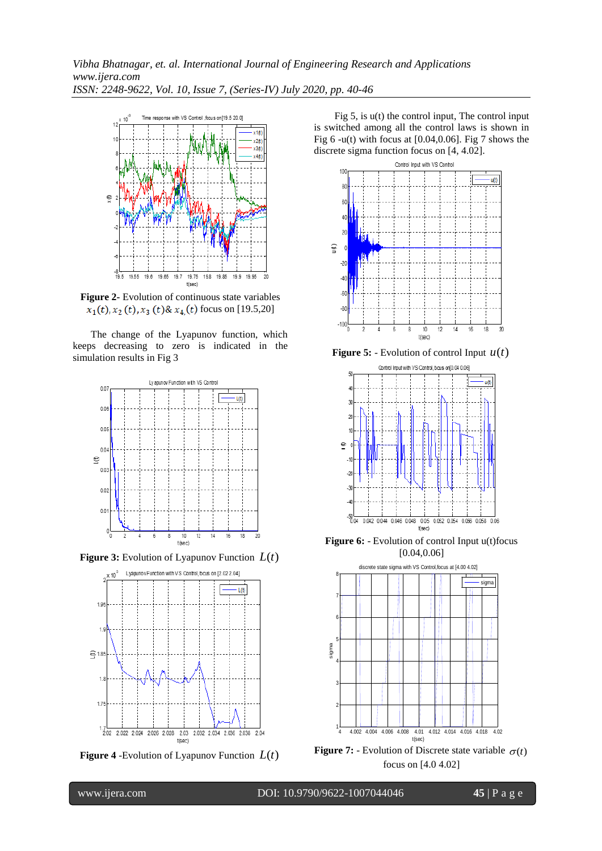*Vibha Bhatnagar, et. al. International Journal of Engineering Research and Applications www.ijera.com ISSN: 2248-9622, Vol. 10, Issue 7, (Series-IV) July 2020, pp. 40-46*



**Figure 2-** Evolution of continuous state variables  $x_1(t)$ ,  $x_2(t)$ ,  $x_3(t)$ &  $x_4(t)$  focus on [19.5,20]

The change of the Lyapunov function, which keeps decreasing to zero is indicated in the simulation results in Fig 3



**Figure 3:** Evolution of Lyapunov Function *L*(*t*)



**Figure 4** -Evolution of Lyapunov Function *L*(*t*)

Fig  $5$ , is  $u(t)$  the control input, The control input is switched among all the control laws is shown in Fig 6 -u(t) with focus at [0.04,0.06]. Fig 7 shows the discrete sigma function focus on [4, 4.02].



**Figure 5:** - Evolution of control Input  $u(t)$ 



**Figure 6:** - Evolution of control Input u(t) focus  $[0.04, 0.06]$